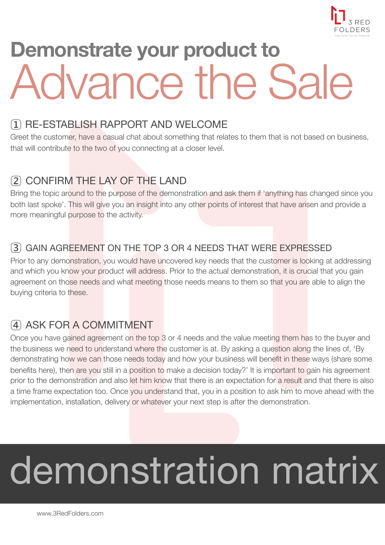

# **Demonstrate your product to**  Advance the Sale

#### 1 RE-ESTABLISH RAPPORT AND WELCOME

Greet the customer, have a casual chat about something that relates to them that is not based on business, that will contribute to the two of you connecting at a closer level.

## 2 CONFIRM THE LAY OF THE LAND

Bring the topic around to the purpose of the demonstration and ask them if 'anything has changed since you both last spoke'. This will give you an insight into any other points of interest that have arisen and provide a more meaningful purpose to the activity.

#### 3 GAIN AGREEMENT ON THE TOP 3 OR 4 NEEDS THAT WERE EXPRESSED

Prior to any demonstration, you would have uncovered key needs that the customer is looking at addressing and which you know your product will address. Prior to the actual demonstration, it is crucial that you gain agreement on those needs and what meeting those needs means to them so that you are able to align the buying criteria to these.

### 4 ASK FOR A COMMITMENT

Once you have gained agreement on the top 3 or 4 needs and the value meeting them has to the buyer and the business we need to understand where the customer is at. By asking a question along the lines of, 'By demonstrating how we can those needs today and how your business will benefit in these ways (share some benefits here), then are you still in a position to make a decision today?' It is important to gain his agreement prior to the demonstration and also let him know that there is an expectation for a result and that there is also a time frame expectation too. Once you understand that, you in a position to ask him to move ahead with the implementation, installation, delivery or whatever your next step is after the demonstration.

# demonstration matrix